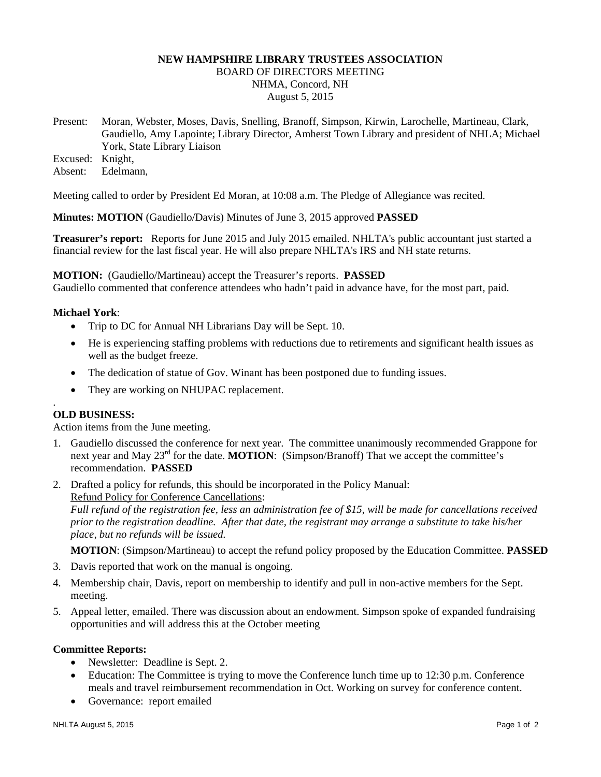# **NEW HAMPSHIRE LIBRARY TRUSTEES ASSOCIATION**

BOARD OF DIRECTORS MEETING NHMA, Concord, NH August 5, 2015

Present: Moran, Webster, Moses, Davis, Snelling, Branoff, Simpson, Kirwin, Larochelle, Martineau, Clark, Gaudiello, Amy Lapointe; Library Director, Amherst Town Library and president of NHLA; Michael York, State Library Liaison

Excused: Knight,

Absent: Edelmann,

Meeting called to order by President Ed Moran, at 10:08 a.m. The Pledge of Allegiance was recited.

**Minutes: MOTION** (Gaudiello/Davis) Minutes of June 3, 2015 approved **PASSED**

**Treasurer's report:** Reports for June 2015 and July 2015 emailed. NHLTA's public accountant just started a financial review for the last fiscal year. He will also prepare NHLTA's IRS and NH state returns.

**MOTION:** (Gaudiello/Martineau) accept the Treasurer's reports. **PASSED** Gaudiello commented that conference attendees who hadn't paid in advance have, for the most part, paid.

# **Michael York**:

- Trip to DC for Annual NH Librarians Day will be Sept. 10.
- He is experiencing staffing problems with reductions due to retirements and significant health issues as well as the budget freeze.
- The dedication of statue of Gov. Winant has been postponed due to funding issues.
- They are working on NHUPAC replacement.

### . **OLD BUSINESS:**

Action items from the June meeting.

- 1. Gaudiello discussed the conference for next year. The committee unanimously recommended Grappone for next year and May 23<sup>rd</sup> for the date. **MOTION**: (Simpson/Branoff) That we accept the committee's recommendation. **PASSED**
- 2. Drafted a policy for refunds, this should be incorporated in the Policy Manual: Refund Policy for Conference Cancellations:

*Full refund of the registration fee, less an administration fee of \$15, will be made for cancellations received prior to the registration deadline. After that date, the registrant may arrange a substitute to take his/her place, but no refunds will be issued.*

**MOTION**: (Simpson/Martineau) to accept the refund policy proposed by the Education Committee. **PASSED**

- 3. Davis reported that work on the manual is ongoing.
- 4. Membership chair, Davis, report on membership to identify and pull in non-active members for the Sept. meeting.
- 5. Appeal letter, emailed. There was discussion about an endowment. Simpson spoke of expanded fundraising opportunities and will address this at the October meeting

### **Committee Reports:**

- Newsletter: Deadline is Sept. 2.
- Education: The Committee is trying to move the Conference lunch time up to 12:30 p.m. Conference meals and travel reimbursement recommendation in Oct. Working on survey for conference content.
- Governance: report emailed